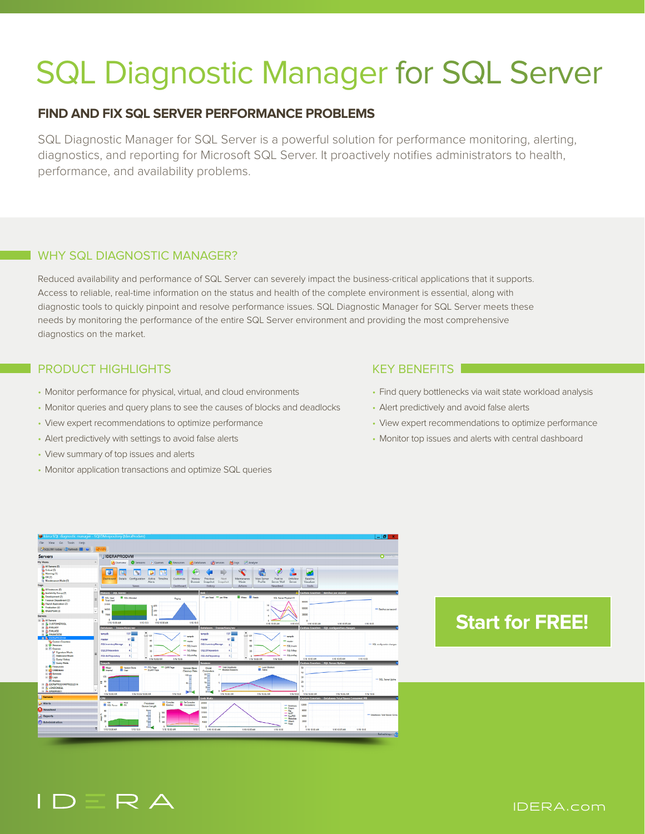# SQL Diagnostic Manager for SQL Server

## **FIND AND FIX SQL SERVER PERFORMANCE PROBLEMS**

SQL Diagnostic Manager for SQL Server is a powerful solution for performance monitoring, alerting, diagnostics, and reporting for Microsoft SQL Server. It proactively notifies administrators to health, performance, and availability problems.

## WHY SQL DIAGNOSTIC MANAGER?

Reduced availability and performance of SQL Server can severely impact the business-critical applications that it supports. Access to reliable, real-time information on the status and health of the complete environment is essential, along with diagnostic tools to quickly pinpoint and resolve performance issues. SQL Diagnostic Manager for SQL Server meets these needs by monitoring the performance of the entire SQL Server environment and providing the most comprehensive diagnostics on the market.

### **PRODUCT HIGHLIGHTS EXAMPLE AND REALLY RESIDENCE.** THE REAL MESSENGER WAS ARRESTED FOR A SERVICE OF A SERVICE OF A SERVICE OF A SERVICE OF A SERVICE OF A SERVICE OF A SERVICE OF A SERVICE OF A SERVICE OF A SERVICE OF A S

- Monitor performance for physical, virtual, and cloud environments
- Monitor queries and query plans to see the causes of blocks and deadlocks
- View expert recommendations to optimize performance
- Alert predictively with settings to avoid false alerts
- View summary of top issues and alerts
- Monitor application transactions and optimize SQL queries

- Find query bottlenecks via wait state workload analysis
- Alert predictively and avoid false alerts
- View expert recommendations to optimize performance
- Monitor top issues and alerts with central dashboard



## **[Start for FREE!](https://www.idera.com/productssolutions/sqlserver/sqldiagnosticmanager?utm_medium=inasset&utm_content=pdf&utm_source=datasheet&utm_campaign=sqldiagnosticmanagerforsqlserver)**